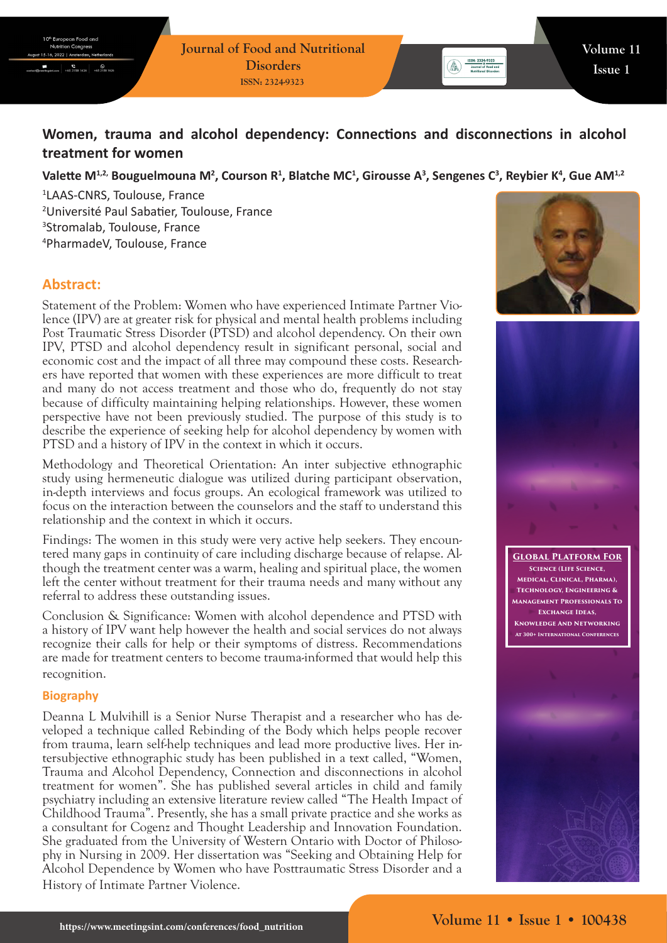# **Women, trauma and alcohol dependency: Connections and disconnections in alcohol treatment for women**

## Valette M<sup>1,2,</sup> Bouguelmouna M<sup>2</sup>, Courson R<sup>1</sup>, Blatche MC<sup>1</sup>, Girousse A<sup>3</sup>, Sengenes C<sup>3</sup>, Reybier K<sup>4</sup>, Gue AM<sup>1,2</sup>

 LAAS-CNRS, Toulouse, France Université Paul Sabatier, Toulouse, France Stromalab, Toulouse, France PharmadeV, Toulouse, France

# **Abstract:**

Statement of the Problem: Women who have experienced Intimate Partner Violence (IPV) are at greater risk for physical and mental health problems including Post Traumatic Stress Disorder (PTSD) and alcohol dependency. On their own IPV, PTSD and alcohol dependency result in significant personal, social and economic cost and the impact of all three may compound these costs. Researchers have reported that women with these experiences are more difficult to treat and many do not access treatment and those who do, frequently do not stay because of difficulty maintaining helping relationships. However, these women perspective have not been previously studied. The purpose of this study is to describe the experience of seeking help for alcohol dependency by women with PTSD and a history of IPV in the context in which it occurs.

Methodology and Theoretical Orientation: An inter subjective ethnographic study using hermeneutic dialogue was utilized during participant observation, in-depth interviews and focus groups. An ecological framework was utilized to focus on the interaction between the counselors and the staff to understand this relationship and the context in which it occurs.

Findings: The women in this study were very active help seekers. They encountered many gaps in continuity of care including discharge because of relapse. Although the treatment center was a warm, healing and spiritual place, the women left the center without treatment for their trauma needs and many without any referral to address these outstanding issues.

Conclusion & Significance: Women with alcohol dependence and PTSD with a history of IPV want help however the health and social services do not always recognize their calls for help or their symptoms of distress. Recommendations are made for treatment centers to become trauma-informed that would help this recognition.

#### **Biography**

Deanna L Mulvihill is a Senior Nurse Therapist and a researcher who has developed a technique called Rebinding of the Body which helps people recover from trauma, learn self-help techniques and lead more productive lives. Her intersubjective ethnographic study has been published in a text called, "Women, Trauma and Alcohol Dependency, Connection and disconnections in alcohol treatment for women". She has published several articles in child and family psychiatry including an extensive literature review called "The Health Impact of Childhood Trauma". Presently, she has a small private practice and she works as a consultant for Cogenz and Thought Leadership and Innovation Foundation. She graduated from the University of Western Ontario with Doctor of Philosophy in Nursing in 2009. Her dissertation was "Seeking and Obtaining Help for Alcohol Dependence by Women who have Posttraumatic Stress Disorder and a History of Intimate Partner Violence.





**Global Platform For Science (Life Science, Medical, Clinical, Pharma), Technology, Engineering & Management Professionals To Exchange Ideas, Knowledge And Networking At 300+ International Conferences**